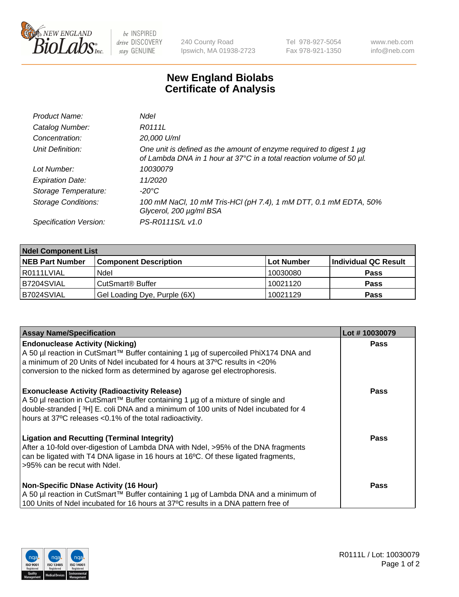

 $be$  INSPIRED drive DISCOVERY stay GENUINE

240 County Road Ipswich, MA 01938-2723 Tel 978-927-5054 Fax 978-921-1350 www.neb.com info@neb.com

## **New England Biolabs Certificate of Analysis**

| Product Name:              | <b>Ndel</b>                                                                                                                                      |
|----------------------------|--------------------------------------------------------------------------------------------------------------------------------------------------|
| Catalog Number:            | R0111L                                                                                                                                           |
| Concentration:             | 20,000 U/ml                                                                                                                                      |
| Unit Definition:           | One unit is defined as the amount of enzyme required to digest 1 $\mu$ g<br>of Lambda DNA in 1 hour at 37°C in a total reaction volume of 50 µl. |
| Lot Number:                | 10030079                                                                                                                                         |
| <b>Expiration Date:</b>    | 11/2020                                                                                                                                          |
| Storage Temperature:       | $-20^{\circ}$ C                                                                                                                                  |
| <b>Storage Conditions:</b> | 100 mM NaCl, 10 mM Tris-HCl (pH 7.4), 1 mM DTT, 0.1 mM EDTA, 50%<br>Glycerol, 200 µg/ml BSA                                                      |
| Specification Version:     | PS-R0111S/L v1.0                                                                                                                                 |

| <b>Ndel Component List</b> |                              |            |                      |  |  |
|----------------------------|------------------------------|------------|----------------------|--|--|
| <b>NEB Part Number</b>     | <b>Component Description</b> | Lot Number | Individual QC Result |  |  |
| R0111LVIAL                 | Ndel                         | 10030080   | <b>Pass</b>          |  |  |
| B7204SVIAL                 | CutSmart <sup>®</sup> Buffer | 10021120   | <b>Pass</b>          |  |  |
| B7024SVIAL                 | Gel Loading Dye, Purple (6X) | 10021129   | <b>Pass</b>          |  |  |

| <b>Assay Name/Specification</b>                                                                                                                                                                                                                                                           | Lot #10030079 |
|-------------------------------------------------------------------------------------------------------------------------------------------------------------------------------------------------------------------------------------------------------------------------------------------|---------------|
| <b>Endonuclease Activity (Nicking)</b><br>  A 50 µl reaction in CutSmart™ Buffer containing 1 µg of supercoiled PhiX174 DNA and                                                                                                                                                           | <b>Pass</b>   |
| a minimum of 20 Units of Ndel incubated for 4 hours at 37°C results in <20%<br>conversion to the nicked form as determined by agarose gel electrophoresis.                                                                                                                                |               |
| <b>Exonuclease Activity (Radioactivity Release)</b><br>A 50 µl reaction in CutSmart™ Buffer containing 1 µg of a mixture of single and<br>double-stranded [3H] E. coli DNA and a minimum of 100 units of Ndel incubated for 4<br>hours at 37°C releases <0.1% of the total radioactivity. | <b>Pass</b>   |
| Ligation and Recutting (Terminal Integrity)<br>After a 10-fold over-digestion of Lambda DNA with Ndel, >95% of the DNA fragments<br>can be ligated with T4 DNA ligase in 16 hours at 16 <sup>o</sup> C. Of these ligated fragments,<br>l>95% can be recut with Ndel.                      | <b>Pass</b>   |
| <b>Non-Specific DNase Activity (16 Hour)</b><br>A 50 µl reaction in CutSmart™ Buffer containing 1 µg of Lambda DNA and a minimum of<br>100 Units of Ndel incubated for 16 hours at 37°C results in a DNA pattern free of                                                                  | <b>Pass</b>   |